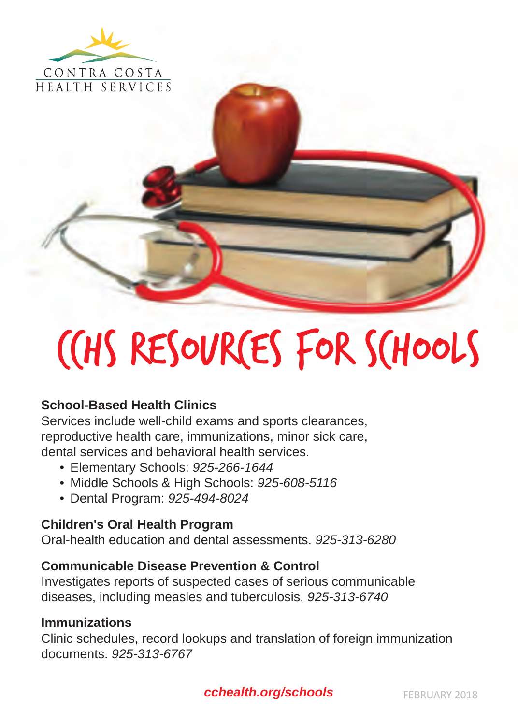

CCHS RESOURCES FOR SCHOOLS

## **School-Based Health Clinics**

Services include well-child exams and sports clearances, reproductive health care, immunizations, minor sick care, dental services and behavioral health services.

- Elementary Schools: *925-266-1644*
- Middle Schools & High Schools: *925-608-5116*
- Dental Program: *925-494-8024*

# **Children's Oral Health Program**

Oral-health education and dental assessments. *925-313-6280*

### **Communicable Disease Prevention & Control**

Investigates reports of suspected cases of serious communicable diseases, including measles and tuberculosis. *925-313-6740*

#### **Immunizations**

Clinic schedules, record lookups and translation of foreign immunization documents. *925-313-6767*